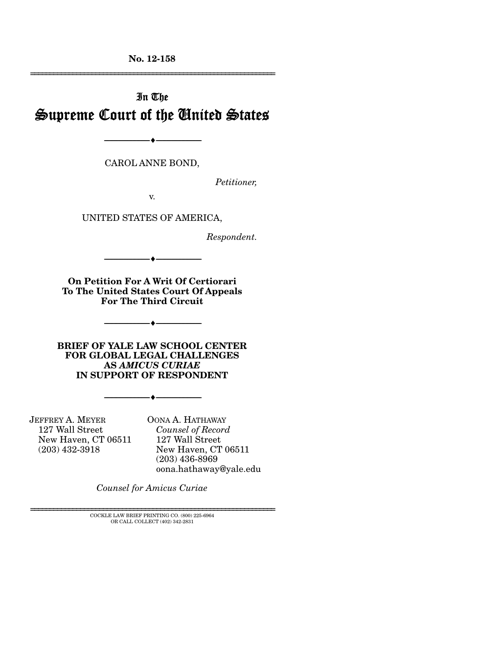**No. 12-158** 

# In The Supreme Court of the United States

CAROL ANNE BOND,

--------------------------------- ---------------------------------

*Petitioner,* 

================================================================

v.

UNITED STATES OF AMERICA,

*Respondent.* 

**On Petition For A Writ Of Certiorari To The United States Court Of Appeals For The Third Circuit** 

--------------------------------- ---------------------------------

--------------------------------- ---------------------------------

**BRIEF OF YALE LAW SCHOOL CENTER FOR GLOBAL LEGAL CHALLENGES AS** *AMICUS CURIAE* **IN SUPPORT OF RESPONDENT** 

--------------------------------- ---------------------------------

JEFFREY A. MEYER 127 Wall Street New Haven, CT 06511 (203) 432-3918

OONA A. HATHAWAY  *Counsel of Record* 127 Wall Street New Haven, CT 06511 (203) 436-8969 oona.hathaway@yale.edu

*Counsel for Amicus Curiae*

 $\pm$  COCKLE LAW BRIEF PRINTING CO. (800) 225-6964 OR CALL COLLECT (402) 342-2831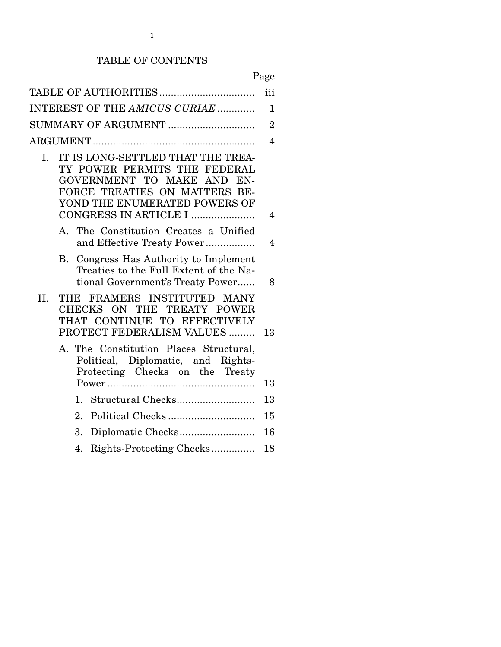# TABLE OF CONTENTS

|                                                                                                                                                                                                  | iii            |
|--------------------------------------------------------------------------------------------------------------------------------------------------------------------------------------------------|----------------|
| INTEREST OF THE AMICUS CURIAE                                                                                                                                                                    | $\mathbf{1}$   |
| SUMMARY OF ARGUMENT                                                                                                                                                                              | $\overline{2}$ |
|                                                                                                                                                                                                  | $\overline{4}$ |
| IT IS LONG-SETTLED THAT THE TREA-<br>I.<br>TY POWER PERMITS THE FEDERAL<br>GOVERNMENT TO MAKE AND EN-<br>FORCE TREATIES ON MATTERS BE-<br>YOND THE ENUMERATED POWERS OF<br>CONGRESS IN ARTICLE I | 4              |
| A. The Constitution Creates a Unified<br>and Effective Treaty Power                                                                                                                              | $\overline{4}$ |
| Congress Has Authority to Implement<br>В.<br>Treaties to the Full Extent of the Na-<br>tional Government's Treaty Power                                                                          | 8              |
| FRAMERS INSTITUTED MANY<br>II.<br>THE<br>CHECKS ON THE TREATY POWER<br>THAT CONTINUE TO EFFECTIVELY<br>PROTECT FEDERALISM VALUES                                                                 | 13             |
| A. The Constitution Places Structural,<br>Political, Diplomatic, and Rights-<br>Protecting Checks on the Treaty                                                                                  | 13             |
|                                                                                                                                                                                                  | 13             |
| 2.                                                                                                                                                                                               | 15             |
| 3.                                                                                                                                                                                               | 16             |
|                                                                                                                                                                                                  |                |
| Rights-Protecting Checks<br>4.                                                                                                                                                                   | 18             |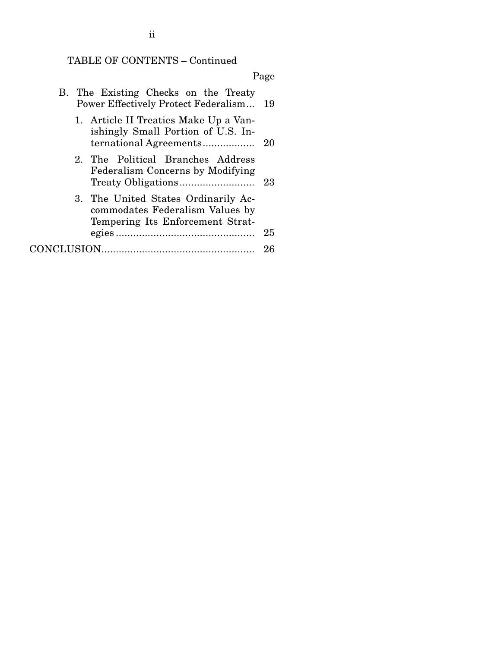# TABLE OF CONTENTS – Continued

|                                                                                                            | Page |
|------------------------------------------------------------------------------------------------------------|------|
| B. The Existing Checks on the Treaty<br><b>Power Effectively Protect Federalism</b>                        | 19   |
| 1. Article II Treaties Make Up a Van-<br>ishingly Small Portion of U.S. In-                                | -20  |
| 2. The Political Branches Address<br>Federalism Concerns by Modifying                                      | 23   |
| 3. The United States Ordinarily Ac-<br>commodates Federalism Values by<br>Tempering Its Enforcement Strat- | 25   |
|                                                                                                            | 26   |

ii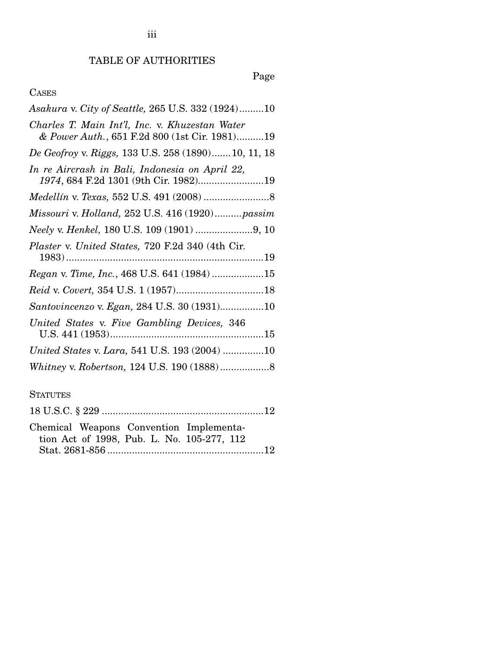# Page

# CASES

| Asakura v. City of Seattle, 265 U.S. 332 (1924)10                                               |
|-------------------------------------------------------------------------------------------------|
| Charles T. Main Int'l, Inc. v. Khuzestan Water<br>& Power Auth., 651 F.2d 800 (1st Cir. 1981)19 |
| De Geofroy v. Riggs, 133 U.S. 258 (1890)10, 11, 18                                              |
| In re Aircrash in Bali, Indonesia on April 22,<br>1974, 684 F.2d 1301 (9th Cir. 1982)19         |
|                                                                                                 |
| Missouri v. Holland, 252 U.S. 416 (1920) passim                                                 |
|                                                                                                 |
| Plaster v. United States, 720 F.2d 340 (4th Cir.                                                |
| Regan v. Time, Inc., 468 U.S. 641 (1984) 15                                                     |
|                                                                                                 |
| Santovincenzo v. Egan, 284 U.S. 30 (1931)10                                                     |
| United States v. Five Gambling Devices, 346                                                     |
| United States v. Lara, 541 U.S. 193 (2004) 10                                                   |
|                                                                                                 |

## **STATUTES**

|  | Chemical Weapons Convention Implementa- |
|--|-----------------------------------------|

| tion Act of 1998, Pub. L. No. 105-277, 112 |  |  |
|--------------------------------------------|--|--|
|                                            |  |  |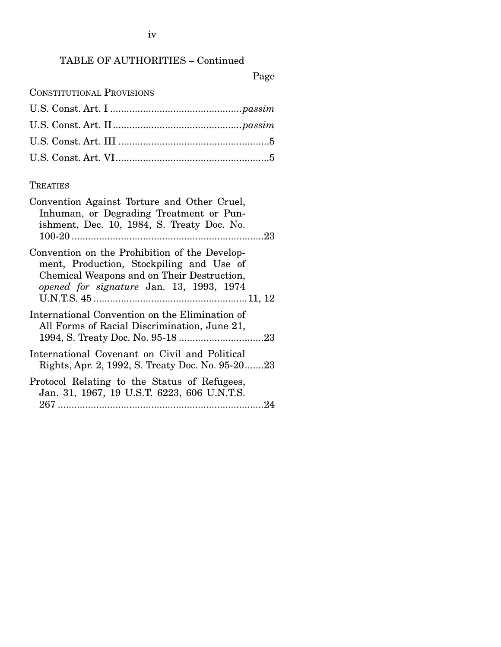iv

## TABLE OF AUTHORITIES – Continued

Page

CONSTITUTIONAL PROVISIONS

## **TREATIES**

| Convention Against Torture and Other Cruel,<br>Inhuman, or Degrading Treatment or Pun-<br>ishment, Dec. 10, 1984, S. Treaty Doc. No.                                                |
|-------------------------------------------------------------------------------------------------------------------------------------------------------------------------------------|
| Convention on the Prohibition of the Develop-<br>ment, Production, Stockpiling and Use of<br>Chemical Weapons and on Their Destruction,<br>opened for signature Jan. 13, 1993, 1974 |
| International Convention on the Elimination of<br>All Forms of Racial Discrimination, June 21,                                                                                      |
| International Covenant on Civil and Political<br>Rights, Apr. 2, 1992, S. Treaty Doc. No. 95-2023                                                                                   |
| Protocol Relating to the Status of Refugees,<br>Jan. 31, 1967, 19 U.S.T. 6223, 606 U.N.T.S.                                                                                         |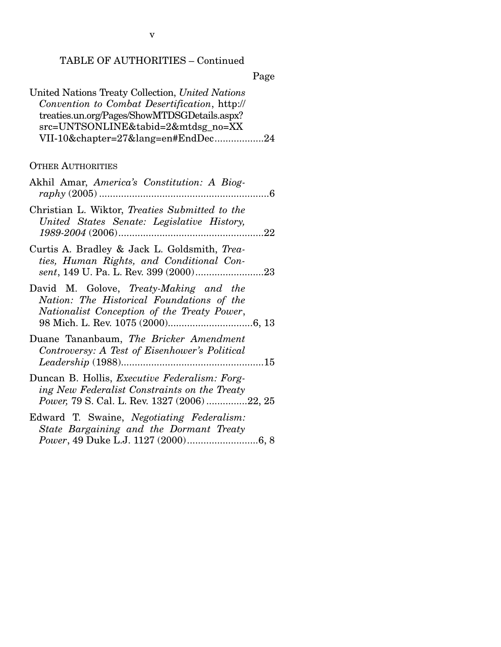# TABLE OF AUTHORITIES – Continued

Page

| United Nations Treaty Collection, United Nations |
|--------------------------------------------------|
| Convention to Combat Desertification, http://    |
| treaties.un.org/Pages/ShowMTDSGDetails.aspx?     |
| src=UNTSONLINE&tabid=2&mtdsg_no=XX               |
| VII-10&chapter=27⟨=en#EndDec24                   |
|                                                  |

## OTHER AUTHORITIES

| Akhil Amar, America's Constitution: A Biog-                                                                                                          |
|------------------------------------------------------------------------------------------------------------------------------------------------------|
| Christian L. Wiktor, Treaties Submitted to the<br>United States Senate: Legislative History,                                                         |
| Curtis A. Bradley & Jack L. Goldsmith, Trea-<br>ties, Human Rights, and Conditional Con-                                                             |
| David M. Golove, Treaty-Making and the<br>Nation: The Historical Foundations of the<br>Nationalist Conception of the Treaty Power,                   |
| Duane Tananbaum, The Bricker Amendment<br>Controversy: A Test of Eisenhower's Political                                                              |
| Duncan B. Hollis, <i>Executive Federalism: Forg-</i><br>ing New Federalist Constraints on the Treaty<br>Power, 79 S. Cal. L. Rev. 1327 (2006) 22, 25 |
| Edward T. Swaine, Negotiating Federalism:<br>State Bargaining and the Dormant Treaty                                                                 |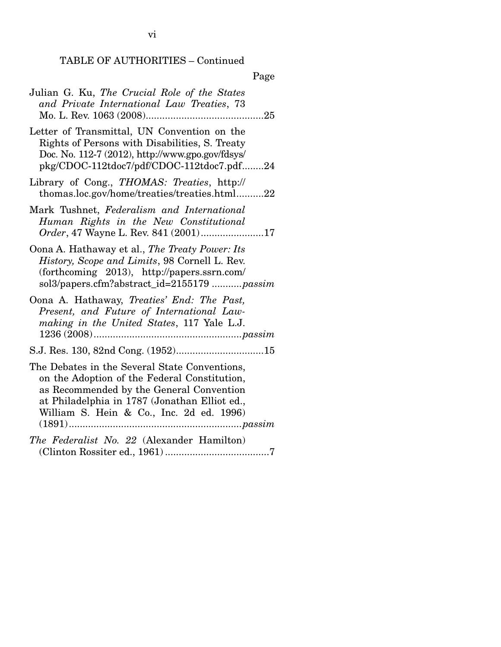# TABLE OF AUTHORITIES – Continued

# Page

| Julian G. Ku, The Crucial Role of the States<br>and Private International Law Treaties, 73                                                                                                                                             |
|----------------------------------------------------------------------------------------------------------------------------------------------------------------------------------------------------------------------------------------|
| Letter of Transmittal, UN Convention on the<br>Rights of Persons with Disabilities, S. Treaty<br>Doc. No. 112-7 (2012), http://www.gpo.gov/fdsys/<br>pkg/CDOC-112tdoc7/pdf/CDOC-112tdoc7.pdf24                                         |
| Library of Cong., THOMAS: Treaties, http://<br>thomas.loc.gov/home/treaties/treaties.html22                                                                                                                                            |
| Mark Tushnet, Federalism and International<br>Human Rights in the New Constitutional<br>Order, 47 Wayne L. Rev. 841 (2001)17                                                                                                           |
| Oona A. Hathaway et al., The Treaty Power: Its<br>History, Scope and Limits, 98 Cornell L. Rev.<br>(forthcoming 2013), http://papers.ssrn.com/<br>sol3/papers.cfm?abstract_id=2155179 passim                                           |
| Oona A. Hathaway, Treaties' End: The Past,<br>Present, and Future of International Law-<br>making in the United States, 117 Yale L.J.                                                                                                  |
|                                                                                                                                                                                                                                        |
| The Debates in the Several State Conventions,<br>on the Adoption of the Federal Constitution,<br>as Recommended by the General Convention<br>at Philadelphia in 1787 (Jonathan Elliot ed.,<br>William S. Hein & Co., Inc. 2d ed. 1996) |
| The Federalist No. 22 (Alexander Hamilton)                                                                                                                                                                                             |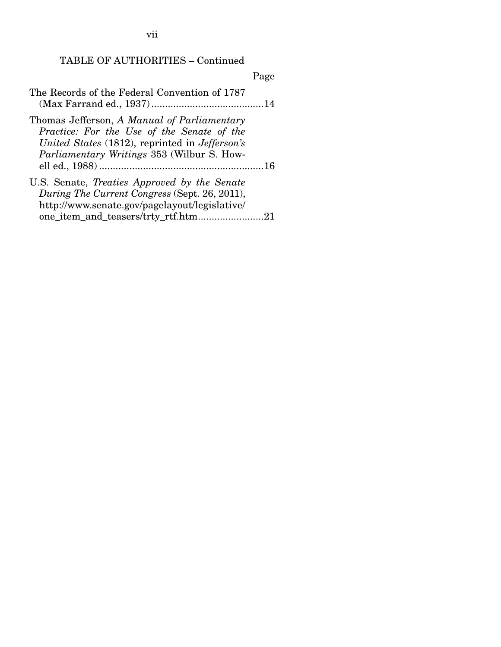vii

## TABLE OF AUTHORITIES – Continued

Page

| The Records of the Federal Convention of 1787 |  |
|-----------------------------------------------|--|
|                                               |  |

Thomas Jefferson, *A Manual of Parliamentary Practice: For the Use of the Senate of the United States* (1812), reprinted in *Jefferson's Parliamentary Writings* 353 (Wilbur S. Howell ed., 1988) ............................................................ 16

| U.S. Senate, Treaties Approved by the Senate  |  |
|-----------------------------------------------|--|
| During The Current Congress (Sept. 26, 2011), |  |
| http://www.senate.gov/pagelayout/legislative/ |  |
| one_item_and_teasers/trty_rtf.htm21           |  |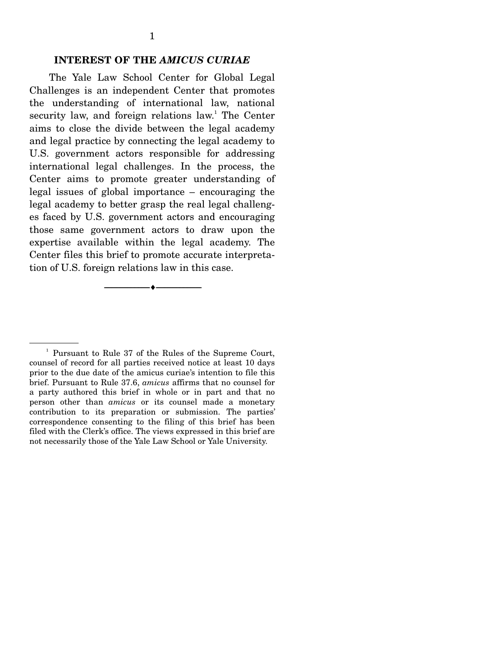#### **INTEREST OF THE** *AMICUS CURIAE*

The Yale Law School Center for Global Legal Challenges is an independent Center that promotes the understanding of international law, national security law, and foreign relations law.<sup>1</sup> The Center aims to close the divide between the legal academy and legal practice by connecting the legal academy to U.S. government actors responsible for addressing international legal challenges. In the process, the Center aims to promote greater understanding of legal issues of global importance – encouraging the legal academy to better grasp the real legal challenges faced by U.S. government actors and encouraging those same government actors to draw upon the expertise available within the legal academy. The Center files this brief to promote accurate interpretation of U.S. foreign relations law in this case.

--------------------------------- ---------------------------------

<sup>&</sup>lt;sup>1</sup> Pursuant to Rule 37 of the Rules of the Supreme Court, counsel of record for all parties received notice at least 10 days prior to the due date of the amicus curiae's intention to file this brief. Pursuant to Rule 37.6, *amicus* affirms that no counsel for a party authored this brief in whole or in part and that no person other than *amicus* or its counsel made a monetary contribution to its preparation or submission. The parties' correspondence consenting to the filing of this brief has been filed with the Clerk's office. The views expressed in this brief are not necessarily those of the Yale Law School or Yale University.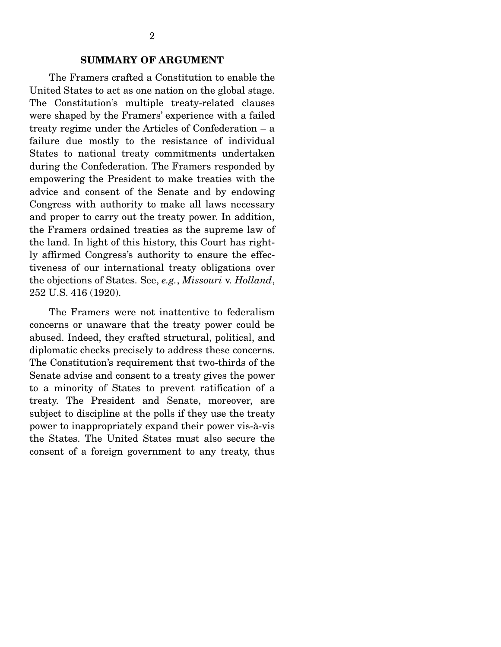#### **SUMMARY OF ARGUMENT**

 The Framers crafted a Constitution to enable the United States to act as one nation on the global stage. The Constitution's multiple treaty-related clauses were shaped by the Framers' experience with a failed treaty regime under the Articles of Confederation – a failure due mostly to the resistance of individual States to national treaty commitments undertaken during the Confederation. The Framers responded by empowering the President to make treaties with the advice and consent of the Senate and by endowing Congress with authority to make all laws necessary and proper to carry out the treaty power. In addition, the Framers ordained treaties as the supreme law of the land. In light of this history, this Court has rightly affirmed Congress's authority to ensure the effectiveness of our international treaty obligations over the objections of States. See, *e.g.*, *Missouri* v. *Holland*, 252 U.S. 416 (1920).

 The Framers were not inattentive to federalism concerns or unaware that the treaty power could be abused. Indeed, they crafted structural, political, and diplomatic checks precisely to address these concerns. The Constitution's requirement that two-thirds of the Senate advise and consent to a treaty gives the power to a minority of States to prevent ratification of a treaty. The President and Senate, moreover, are subject to discipline at the polls if they use the treaty power to inappropriately expand their power vis-à-vis the States. The United States must also secure the consent of a foreign government to any treaty, thus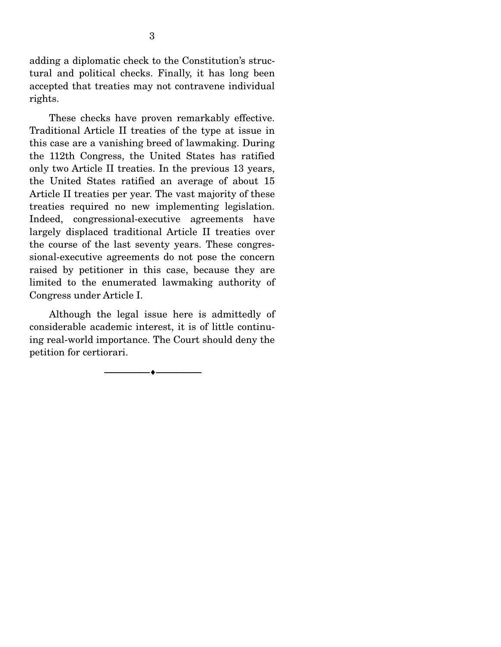adding a diplomatic check to the Constitution's structural and political checks. Finally, it has long been accepted that treaties may not contravene individual rights.

 These checks have proven remarkably effective. Traditional Article II treaties of the type at issue in this case are a vanishing breed of lawmaking. During the 112th Congress, the United States has ratified only two Article II treaties. In the previous 13 years, the United States ratified an average of about 15 Article II treaties per year. The vast majority of these treaties required no new implementing legislation. Indeed, congressional-executive agreements have largely displaced traditional Article II treaties over the course of the last seventy years. These congressional-executive agreements do not pose the concern raised by petitioner in this case, because they are limited to the enumerated lawmaking authority of Congress under Article I.

 Although the legal issue here is admittedly of considerable academic interest, it is of little continuing real-world importance. The Court should deny the petition for certiorari.

--------------------------------- ---------------------------------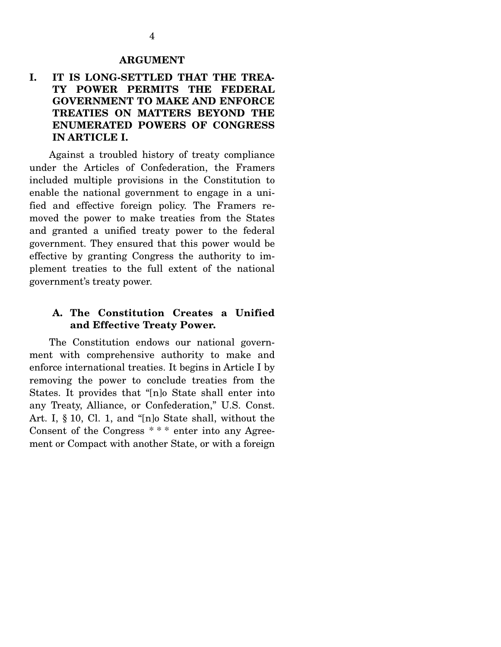## **I. IT IS LONG-SETTLED THAT THE TREA-TY POWER PERMITS THE FEDERAL GOVERNMENT TO MAKE AND ENFORCE TREATIES ON MATTERS BEYOND THE ENUMERATED POWERS OF CONGRESS IN ARTICLE I.**

 Against a troubled history of treaty compliance under the Articles of Confederation, the Framers included multiple provisions in the Constitution to enable the national government to engage in a unified and effective foreign policy. The Framers removed the power to make treaties from the States and granted a unified treaty power to the federal government. They ensured that this power would be effective by granting Congress the authority to implement treaties to the full extent of the national government's treaty power.

#### **A. The Constitution Creates a Unified and Effective Treaty Power.**

 The Constitution endows our national government with comprehensive authority to make and enforce international treaties. It begins in Article I by removing the power to conclude treaties from the States. It provides that "[n]o State shall enter into any Treaty, Alliance, or Confederation," U.S. Const. Art. I, § 10, Cl. 1, and "[n]o State shall, without the Consent of the Congress \* \* \* enter into any Agreement or Compact with another State, or with a foreign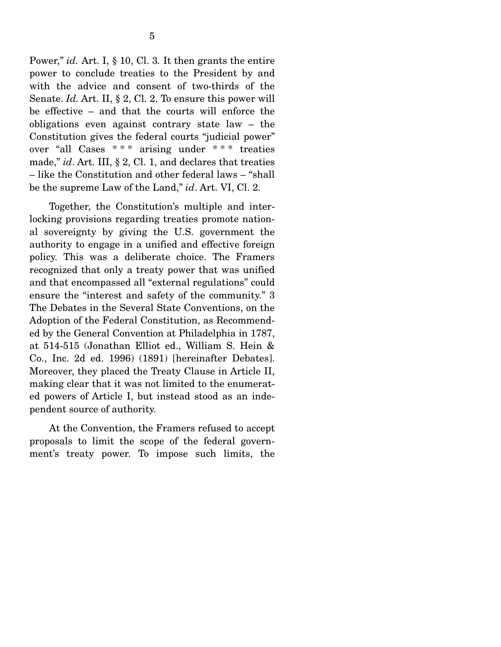Power," *id.* Art. I, § 10, Cl. 3*.* It then grants the entire power to conclude treaties to the President by and with the advice and consent of two-thirds of the Senate. *Id.* Art. II, § 2, Cl. 2. To ensure this power will be effective – and that the courts will enforce the obligations even against contrary state law – the Constitution gives the federal courts "judicial power" over "all Cases \* \* \* arising under \* \* \* treaties made," *id*. Art. III, § 2, Cl. 1, and declares that treaties – like the Constitution and other federal laws – "shall be the supreme Law of the Land," *id*. Art. VI, Cl. 2.

 Together, the Constitution's multiple and interlocking provisions regarding treaties promote national sovereignty by giving the U.S. government the authority to engage in a unified and effective foreign policy. This was a deliberate choice. The Framers recognized that only a treaty power that was unified and that encompassed all "external regulations" could ensure the "interest and safety of the community." 3 The Debates in the Several State Conventions, on the Adoption of the Federal Constitution, as Recommended by the General Convention at Philadelphia in 1787, at 514-515 (Jonathan Elliot ed., William S. Hein & Co., Inc. 2d ed. 1996) (1891) [hereinafter Debates]. Moreover, they placed the Treaty Clause in Article II, making clear that it was not limited to the enumerated powers of Article I, but instead stood as an independent source of authority.

 At the Convention, the Framers refused to accept proposals to limit the scope of the federal government's treaty power. To impose such limits, the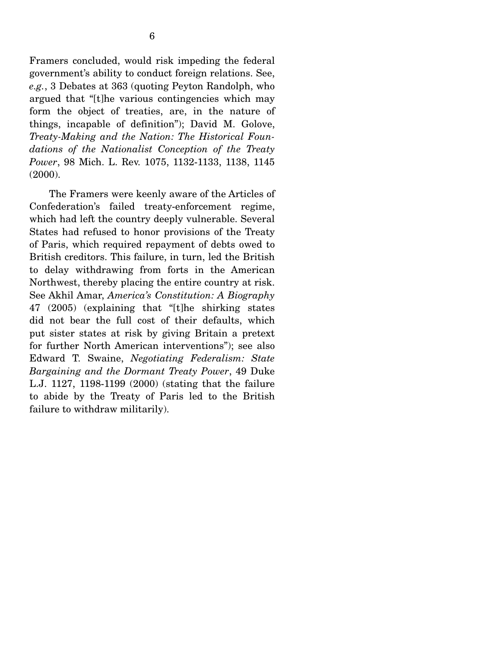Framers concluded, would risk impeding the federal government's ability to conduct foreign relations. See, *e.g.*, 3 Debates at 363 (quoting Peyton Randolph, who argued that "[t]he various contingencies which may form the object of treaties, are, in the nature of things, incapable of definition"); David M. Golove, *Treaty-Making and the Nation: The Historical Foundations of the Nationalist Conception of the Treaty Power*, 98 Mich. L. Rev. 1075, 1132-1133, 1138, 1145 (2000).

 The Framers were keenly aware of the Articles of Confederation's failed treaty-enforcement regime, which had left the country deeply vulnerable. Several States had refused to honor provisions of the Treaty of Paris, which required repayment of debts owed to British creditors. This failure, in turn, led the British to delay withdrawing from forts in the American Northwest, thereby placing the entire country at risk. See Akhil Amar, *America's Constitution: A Biography* 47 (2005) (explaining that "[t]he shirking states did not bear the full cost of their defaults, which put sister states at risk by giving Britain a pretext for further North American interventions"); see also Edward T. Swaine, *Negotiating Federalism: State Bargaining and the Dormant Treaty Power*, 49 Duke L.J. 1127, 1198-1199 (2000) (stating that the failure to abide by the Treaty of Paris led to the British failure to withdraw militarily).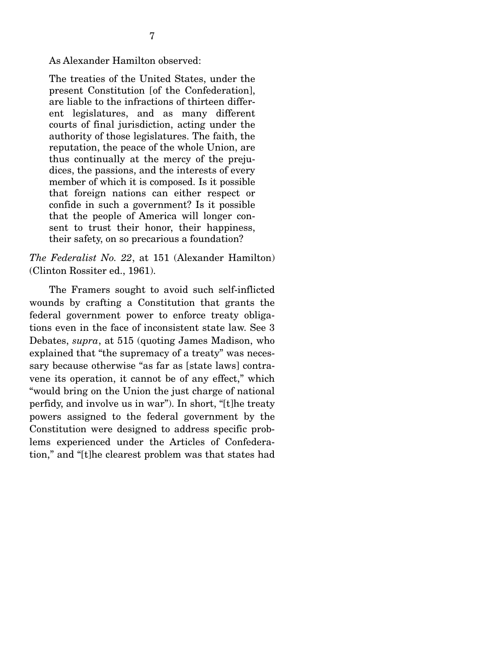The treaties of the United States, under the present Constitution [of the Confederation], are liable to the infractions of thirteen different legislatures, and as many different courts of final jurisdiction, acting under the authority of those legislatures. The faith, the reputation, the peace of the whole Union, are thus continually at the mercy of the prejudices, the passions, and the interests of every member of which it is composed. Is it possible that foreign nations can either respect or confide in such a government? Is it possible that the people of America will longer consent to trust their honor, their happiness, their safety, on so precarious a foundation?

*The Federalist No. 22*, at 151 (Alexander Hamilton) (Clinton Rossiter ed., 1961).

 The Framers sought to avoid such self-inflicted wounds by crafting a Constitution that grants the federal government power to enforce treaty obligations even in the face of inconsistent state law. See 3 Debates, *supra*, at 515 (quoting James Madison, who explained that "the supremacy of a treaty" was necessary because otherwise "as far as [state laws] contravene its operation, it cannot be of any effect," which "would bring on the Union the just charge of national perfidy, and involve us in war"). In short, "[t]he treaty powers assigned to the federal government by the Constitution were designed to address specific problems experienced under the Articles of Confederation," and "[t]he clearest problem was that states had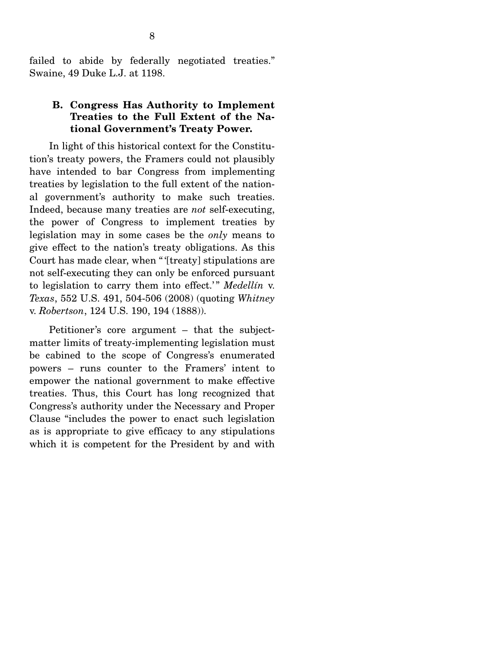failed to abide by federally negotiated treaties." Swaine, 49 Duke L.J. at 1198.

#### **B. Congress Has Authority to Implement Treaties to the Full Extent of the National Government's Treaty Power.**

 In light of this historical context for the Constitution's treaty powers, the Framers could not plausibly have intended to bar Congress from implementing treaties by legislation to the full extent of the national government's authority to make such treaties. Indeed, because many treaties are *not* self-executing, the power of Congress to implement treaties by legislation may in some cases be the *only* means to give effect to the nation's treaty obligations. As this Court has made clear, when " '[treaty] stipulations are not self-executing they can only be enforced pursuant to legislation to carry them into effect.' " *Medellín* v. *Texas*, 552 U.S. 491, 504-506 (2008) (quoting *Whitney*  v. *Robertson*, 124 U.S. 190, 194 (1888)).

 Petitioner's core argument – that the subjectmatter limits of treaty-implementing legislation must be cabined to the scope of Congress's enumerated powers – runs counter to the Framers' intent to empower the national government to make effective treaties. Thus, this Court has long recognized that Congress's authority under the Necessary and Proper Clause "includes the power to enact such legislation as is appropriate to give efficacy to any stipulations which it is competent for the President by and with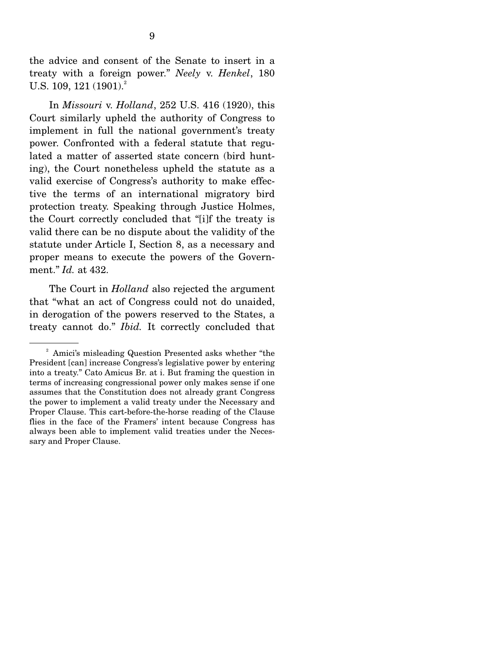the advice and consent of the Senate to insert in a treaty with a foreign power." *Neely* v. *Henkel*, 180 U.S. 109, 121 (1901).<sup>2</sup>

 In *Missouri* v. *Holland*, 252 U.S. 416 (1920), this Court similarly upheld the authority of Congress to implement in full the national government's treaty power. Confronted with a federal statute that regulated a matter of asserted state concern (bird hunting), the Court nonetheless upheld the statute as a valid exercise of Congress's authority to make effective the terms of an international migratory bird protection treaty. Speaking through Justice Holmes, the Court correctly concluded that "[i]f the treaty is valid there can be no dispute about the validity of the statute under Article I, Section 8, as a necessary and proper means to execute the powers of the Government." *Id.* at 432.

The Court in *Holland* also rejected the argument that "what an act of Congress could not do unaided, in derogation of the powers reserved to the States, a treaty cannot do." *Ibid.* It correctly concluded that

<sup>&</sup>lt;sup>2</sup> Amici's misleading Question Presented asks whether "the President [can] increase Congress's legislative power by entering into a treaty." Cato Amicus Br. at i. But framing the question in terms of increasing congressional power only makes sense if one assumes that the Constitution does not already grant Congress the power to implement a valid treaty under the Necessary and Proper Clause. This cart-before-the-horse reading of the Clause flies in the face of the Framers' intent because Congress has always been able to implement valid treaties under the Necessary and Proper Clause.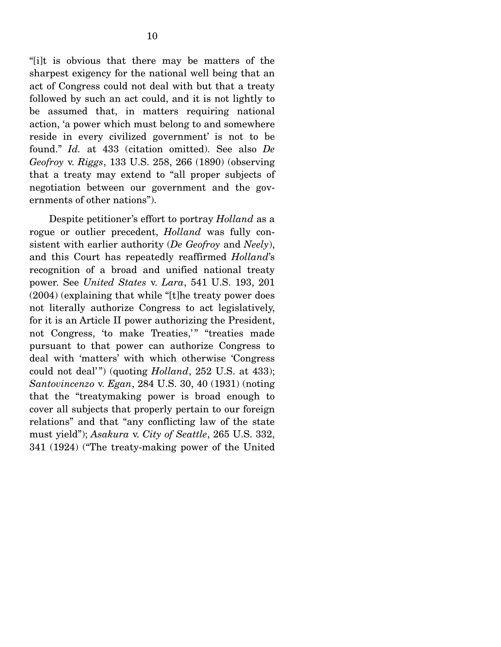"[i]t is obvious that there may be matters of the sharpest exigency for the national well being that an act of Congress could not deal with but that a treaty followed by such an act could, and it is not lightly to be assumed that, in matters requiring national action, 'a power which must belong to and somewhere reside in every civilized government' is not to be found." *Id.* at 433 (citation omitted). See also *De Geofroy* v. *Riggs*, 133 U.S. 258, 266 (1890) (observing that a treaty may extend to "all proper subjects of negotiation between our government and the governments of other nations").

 Despite petitioner's effort to portray *Holland* as a rogue or outlier precedent, *Holland* was fully consistent with earlier authority (*De Geofroy* and *Neely*), and this Court has repeatedly reaffirmed *Holland*'s recognition of a broad and unified national treaty power. See *United States* v. *Lara*, 541 U.S. 193, 201 (2004) (explaining that while "[t]he treaty power does not literally authorize Congress to act legislatively, for it is an Article II power authorizing the President, not Congress, 'to make Treaties,'" "treaties made pursuant to that power can authorize Congress to deal with 'matters' with which otherwise 'Congress could not deal'") (quoting *Holland*, 252 U.S. at 433); *Santovincenzo* v. *Egan*, 284 U.S. 30, 40 (1931) (noting that the "treatymaking power is broad enough to cover all subjects that properly pertain to our foreign relations" and that "any conflicting law of the state must yield"); *Asakura* v. *City of Seattle*, 265 U.S. 332, 341 (1924) ("The treaty-making power of the United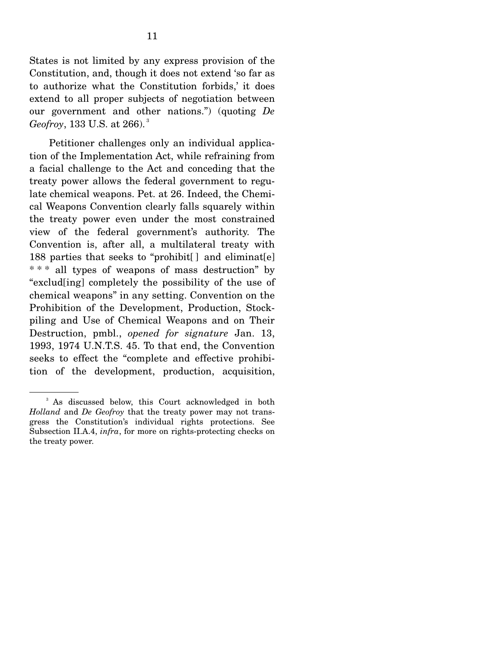States is not limited by any express provision of the Constitution, and, though it does not extend 'so far as to authorize what the Constitution forbids,' it does extend to all proper subjects of negotiation between our government and other nations.") (quoting *De Geofroy*, 133 U.S. at 266). 3

 Petitioner challenges only an individual application of the Implementation Act, while refraining from a facial challenge to the Act and conceding that the treaty power allows the federal government to regulate chemical weapons. Pet. at 26. Indeed, the Chemical Weapons Convention clearly falls squarely within the treaty power even under the most constrained view of the federal government's authority. The Convention is, after all, a multilateral treaty with 188 parties that seeks to "prohibit $\lceil \cdot \rceil$  and eliminat $\lceil e \rceil$ \* \* \* all types of weapons of mass destruction" by "exclud[ing] completely the possibility of the use of chemical weapons" in any setting. Convention on the Prohibition of the Development, Production, Stockpiling and Use of Chemical Weapons and on Their Destruction, pmbl., *opened for signature* Jan. 13, 1993, 1974 U.N.T.S. 45. To that end, the Convention seeks to effect the "complete and effective prohibition of the development, production, acquisition,

<sup>&</sup>lt;sup>3</sup> As discussed below, this Court acknowledged in both *Holland* and *De Geofroy* that the treaty power may not transgress the Constitution's individual rights protections. See Subsection II.A.4, *infra*, for more on rights-protecting checks on the treaty power.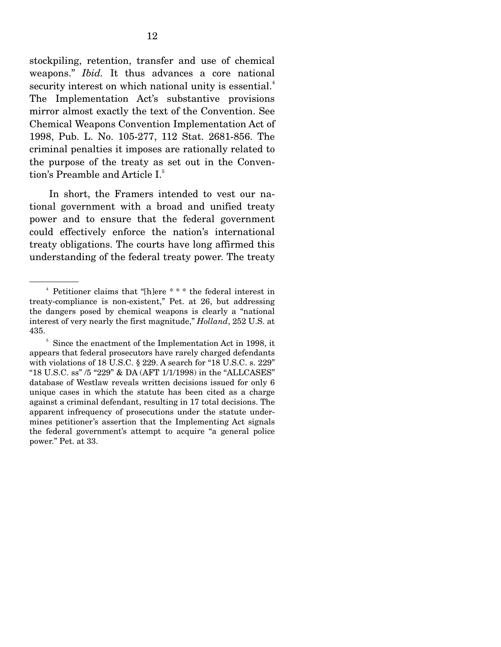stockpiling, retention, transfer and use of chemical weapons." *Ibid.* It thus advances a core national security interest on which national unity is essential.<sup>4</sup> The Implementation Act's substantive provisions mirror almost exactly the text of the Convention. See Chemical Weapons Convention Implementation Act of 1998, Pub. L. No. 105-277, 112 Stat. 2681-856. The criminal penalties it imposes are rationally related to the purpose of the treaty as set out in the Convention's Preamble and Article I.<sup>5</sup>

 In short, the Framers intended to vest our national government with a broad and unified treaty power and to ensure that the federal government could effectively enforce the nation's international treaty obligations. The courts have long affirmed this understanding of the federal treaty power. The treaty

<sup>4</sup> Petitioner claims that "[h]ere \* \* \* the federal interest in treaty-compliance is non-existent," Pet. at 26, but addressing the dangers posed by chemical weapons is clearly a "national interest of very nearly the first magnitude," *Holland*, 252 U.S. at 435.

<sup>&</sup>lt;sup>5</sup> Since the enactment of the Implementation Act in 1998, it appears that federal prosecutors have rarely charged defendants with violations of 18 U.S.C. § 229. A search for "18 U.S.C. s. 229" "18 U.S.C. ss" /5 "229" & DA (AFT 1/1/1998) in the "ALLCASES" database of Westlaw reveals written decisions issued for only 6 unique cases in which the statute has been cited as a charge against a criminal defendant, resulting in 17 total decisions. The apparent infrequency of prosecutions under the statute undermines petitioner's assertion that the Implementing Act signals the federal government's attempt to acquire "a general police power." Pet. at 33.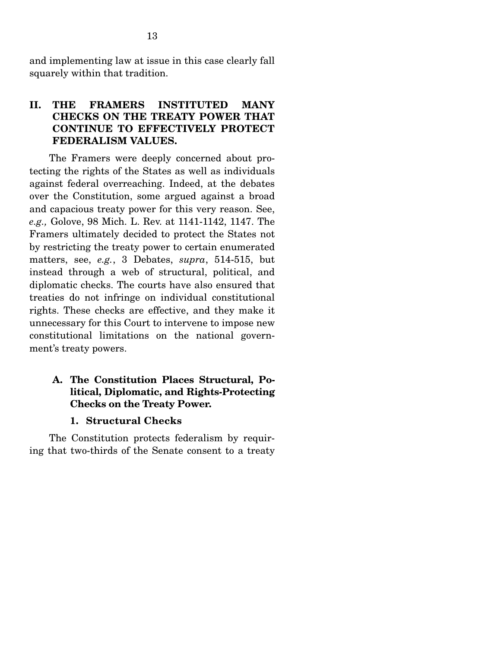and implementing law at issue in this case clearly fall squarely within that tradition.

## **II. THE FRAMERS INSTITUTED MANY CHECKS ON THE TREATY POWER THAT CONTINUE TO EFFECTIVELY PROTECT FEDERALISM VALUES.**

 The Framers were deeply concerned about protecting the rights of the States as well as individuals against federal overreaching. Indeed, at the debates over the Constitution, some argued against a broad and capacious treaty power for this very reason. See, *e.g.,* Golove, 98 Mich. L. Rev. at 1141-1142, 1147. The Framers ultimately decided to protect the States not by restricting the treaty power to certain enumerated matters, see, *e.g.*, 3 Debates, *supra*, 514-515, but instead through a web of structural, political, and diplomatic checks. The courts have also ensured that treaties do not infringe on individual constitutional rights. These checks are effective, and they make it unnecessary for this Court to intervene to impose new constitutional limitations on the national government's treaty powers.

## **A. The Constitution Places Structural, Political, Diplomatic, and Rights-Protecting Checks on the Treaty Power.**

#### **1. Structural Checks**

 The Constitution protects federalism by requiring that two-thirds of the Senate consent to a treaty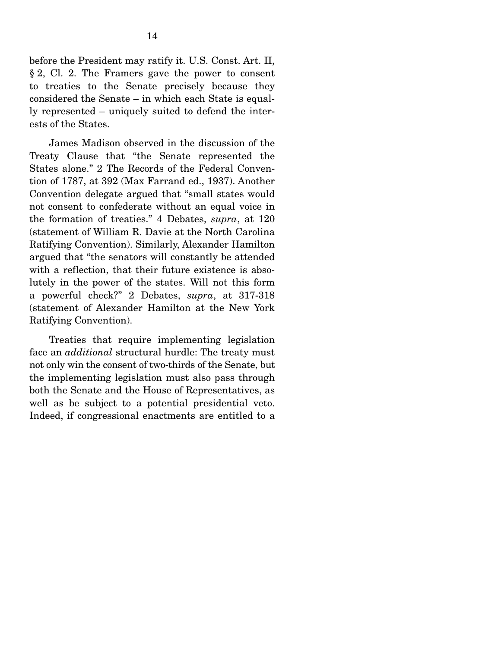before the President may ratify it. U.S. Const. Art. II, § 2, Cl. 2. The Framers gave the power to consent to treaties to the Senate precisely because they considered the Senate – in which each State is equally represented – uniquely suited to defend the interests of the States.

 James Madison observed in the discussion of the Treaty Clause that "the Senate represented the States alone." 2 The Records of the Federal Convention of 1787, at 392 (Max Farrand ed., 1937). Another Convention delegate argued that "small states would not consent to confederate without an equal voice in the formation of treaties." 4 Debates, *supra*, at 120 (statement of William R. Davie at the North Carolina Ratifying Convention). Similarly, Alexander Hamilton argued that "the senators will constantly be attended with a reflection, that their future existence is absolutely in the power of the states. Will not this form a powerful check?" 2 Debates, *supra*, at 317-318 (statement of Alexander Hamilton at the New York Ratifying Convention).

 Treaties that require implementing legislation face an *additional* structural hurdle: The treaty must not only win the consent of two-thirds of the Senate, but the implementing legislation must also pass through both the Senate and the House of Representatives, as well as be subject to a potential presidential veto. Indeed, if congressional enactments are entitled to a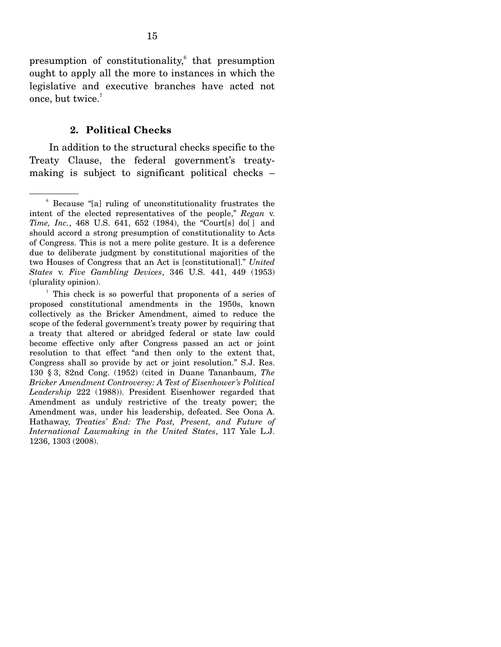presumption of constitutionality,<sup>6</sup> that presumption ought to apply all the more to instances in which the legislative and executive branches have acted not once, but twice.<sup>7</sup>

#### **2. Political Checks**

 In addition to the structural checks specific to the Treaty Clause, the federal government's treatymaking is subject to significant political checks –

<sup>6</sup> Because "[a] ruling of unconstitutionality frustrates the intent of the elected representatives of the people," *Regan* v. *Time, Inc.*, 468 U.S. 641, 652 (1984), the "Court[s] do[ ] and should accord a strong presumption of constitutionality to Acts of Congress. This is not a mere polite gesture. It is a deference due to deliberate judgment by constitutional majorities of the two Houses of Congress that an Act is [constitutional]." *United States* v. *Five Gambling Devices*, 346 U.S. 441, 449 (1953) (plurality opinion).

<sup>7</sup> This check is so powerful that proponents of a series of proposed constitutional amendments in the 1950s, known collectively as the Bricker Amendment, aimed to reduce the scope of the federal government's treaty power by requiring that a treaty that altered or abridged federal or state law could become effective only after Congress passed an act or joint resolution to that effect "and then only to the extent that, Congress shall so provide by act or joint resolution." S.J. Res. 130 § 3, 82nd Cong. (1952) (cited in Duane Tananbaum, *The Bricker Amendment Controversy: A Test of Eisenhower's Political Leadership* 222 (1988)). President Eisenhower regarded that Amendment as unduly restrictive of the treaty power; the Amendment was, under his leadership, defeated. See Oona A. Hathaway, *Treaties' End: The Past, Present, and Future of International Lawmaking in the United States*, 117 Yale L.J. 1236, 1303 (2008).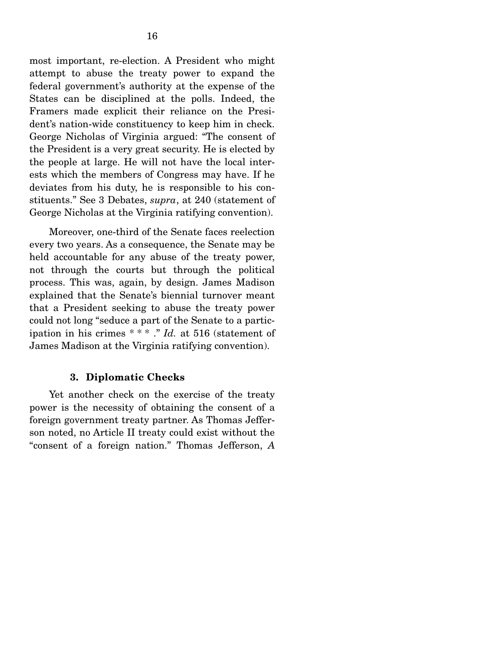most important, re-election. A President who might attempt to abuse the treaty power to expand the federal government's authority at the expense of the States can be disciplined at the polls. Indeed, the Framers made explicit their reliance on the President's nation-wide constituency to keep him in check. George Nicholas of Virginia argued: "The consent of the President is a very great security. He is elected by the people at large. He will not have the local interests which the members of Congress may have. If he deviates from his duty, he is responsible to his constituents." See 3 Debates, *supra*, at 240 (statement of George Nicholas at the Virginia ratifying convention).

 Moreover, one-third of the Senate faces reelection every two years. As a consequence, the Senate may be held accountable for any abuse of the treaty power, not through the courts but through the political process. This was, again, by design. James Madison explained that the Senate's biennial turnover meant that a President seeking to abuse the treaty power could not long "seduce a part of the Senate to a participation in his crimes \* \* \* ." *Id.* at 516 (statement of James Madison at the Virginia ratifying convention).

#### **3. Diplomatic Checks**

 Yet another check on the exercise of the treaty power is the necessity of obtaining the consent of a foreign government treaty partner. As Thomas Jefferson noted, no Article II treaty could exist without the "consent of a foreign nation." Thomas Jefferson, *A*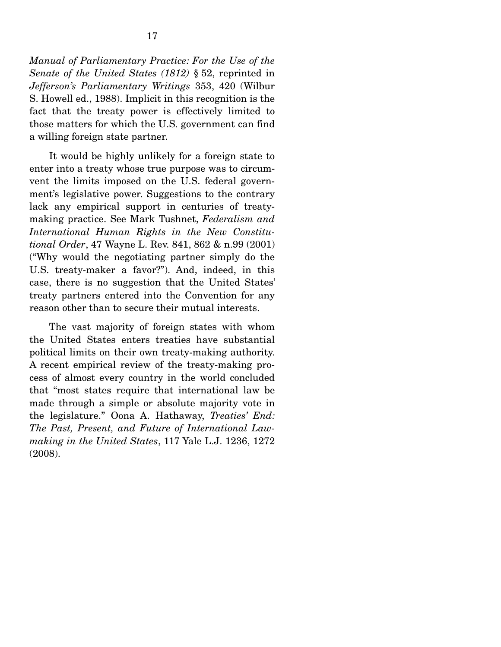*Manual of Parliamentary Practice: For the Use of the Senate of the United States (1812)* § 52, reprinted in *Jefferson's Parliamentary Writings* 353, 420 (Wilbur S. Howell ed., 1988). Implicit in this recognition is the fact that the treaty power is effectively limited to those matters for which the U.S. government can find a willing foreign state partner.

 It would be highly unlikely for a foreign state to enter into a treaty whose true purpose was to circumvent the limits imposed on the U.S. federal government's legislative power. Suggestions to the contrary lack any empirical support in centuries of treatymaking practice. See Mark Tushnet, *Federalism and International Human Rights in the New Constitutional Order*, 47 Wayne L. Rev. 841, 862 & n.99 (2001) ("Why would the negotiating partner simply do the U.S. treaty-maker a favor?"). And, indeed, in this case, there is no suggestion that the United States' treaty partners entered into the Convention for any reason other than to secure their mutual interests.

 The vast majority of foreign states with whom the United States enters treaties have substantial political limits on their own treaty-making authority. A recent empirical review of the treaty-making process of almost every country in the world concluded that "most states require that international law be made through a simple or absolute majority vote in the legislature." Oona A. Hathaway, *Treaties' End: The Past, Present, and Future of International Lawmaking in the United States*, 117 Yale L.J. 1236, 1272 (2008).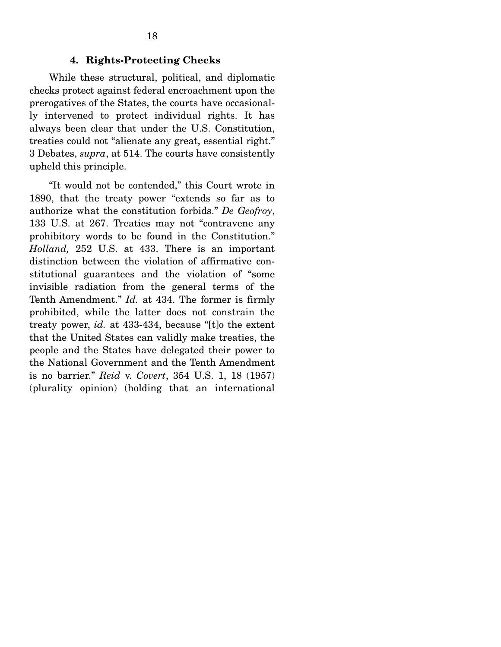#### **4. Rights-Protecting Checks**

 While these structural, political, and diplomatic checks protect against federal encroachment upon the prerogatives of the States, the courts have occasionally intervened to protect individual rights. It has always been clear that under the U.S. Constitution, treaties could not "alienate any great, essential right." 3 Debates, *supra*, at 514. The courts have consistently upheld this principle.

 "It would not be contended," this Court wrote in 1890, that the treaty power "extends so far as to authorize what the constitution forbids." *De Geofroy*, 133 U.S. at 267. Treaties may not "contravene any prohibitory words to be found in the Constitution." *Holland,* 252 U.S. at 433. There is an important distinction between the violation of affirmative constitutional guarantees and the violation of "some invisible radiation from the general terms of the Tenth Amendment." *Id.* at 434. The former is firmly prohibited, while the latter does not constrain the treaty power, *id.* at 433-434, because "[t]o the extent that the United States can validly make treaties, the people and the States have delegated their power to the National Government and the Tenth Amendment is no barrier." *Reid* v. *Covert*, 354 U.S. 1, 18 (1957) (plurality opinion) (holding that an international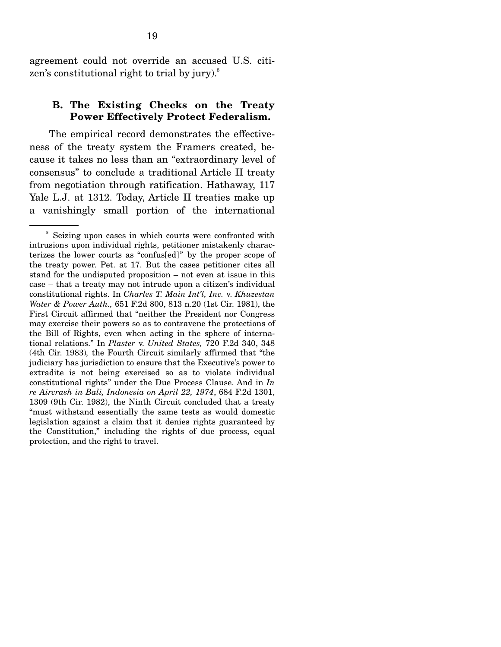agreement could not override an accused U.S. citizen's constitutional right to trial by jury). $^8$ 

#### **B. The Existing Checks on the Treaty Power Effectively Protect Federalism.**

 The empirical record demonstrates the effectiveness of the treaty system the Framers created, because it takes no less than an "extraordinary level of consensus" to conclude a traditional Article II treaty from negotiation through ratification. Hathaway, 117 Yale L.J. at 1312. Today, Article II treaties make up a vanishingly small portion of the international

<sup>8</sup> Seizing upon cases in which courts were confronted with intrusions upon individual rights, petitioner mistakenly characterizes the lower courts as "confus[ed]" by the proper scope of the treaty power. Pet. at 17. But the cases petitioner cites all stand for the undisputed proposition – not even at issue in this case – that a treaty may not intrude upon a citizen's individual constitutional rights. In *Charles T. Main Int'l, Inc.* v. *Khuzestan Water & Power Auth.,* 651 F.2d 800, 813 n.20 (1st Cir. 1981), the First Circuit affirmed that "neither the President nor Congress may exercise their powers so as to contravene the protections of the Bill of Rights, even when acting in the sphere of international relations." In *Plaster* v. *United States,* 720 F.2d 340, 348 (4th Cir. 1983)*,* the Fourth Circuit similarly affirmed that "the judiciary has jurisdiction to ensure that the Executive's power to extradite is not being exercised so as to violate individual constitutional rights" under the Due Process Clause. And in *In re Aircrash in Bali, Indonesia on April 22, 1974*, 684 F.2d 1301, 1309 (9th Cir. 1982), the Ninth Circuit concluded that a treaty "must withstand essentially the same tests as would domestic legislation against a claim that it denies rights guaranteed by the Constitution," including the rights of due process, equal protection, and the right to travel.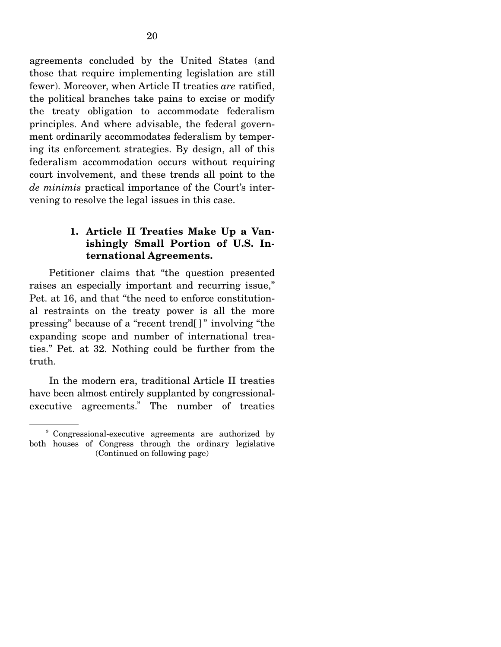agreements concluded by the United States (and those that require implementing legislation are still fewer). Moreover, when Article II treaties *are* ratified, the political branches take pains to excise or modify the treaty obligation to accommodate federalism principles. And where advisable, the federal government ordinarily accommodates federalism by tempering its enforcement strategies. By design, all of this federalism accommodation occurs without requiring court involvement, and these trends all point to the *de minimis* practical importance of the Court's intervening to resolve the legal issues in this case.

### **1. Article II Treaties Make Up a Vanishingly Small Portion of U.S. International Agreements.**

 Petitioner claims that "the question presented raises an especially important and recurring issue," Pet. at 16, and that "the need to enforce constitutional restraints on the treaty power is all the more pressing" because of a "recent trend[ ] " involving "the expanding scope and number of international treaties." Pet. at 32. Nothing could be further from the truth.

 In the modern era, traditional Article II treaties have been almost entirely supplanted by congressionalexecutive agreements. The number of treaties

<sup>9</sup> Congressional-executive agreements are authorized by both houses of Congress through the ordinary legislative (Continued on following page)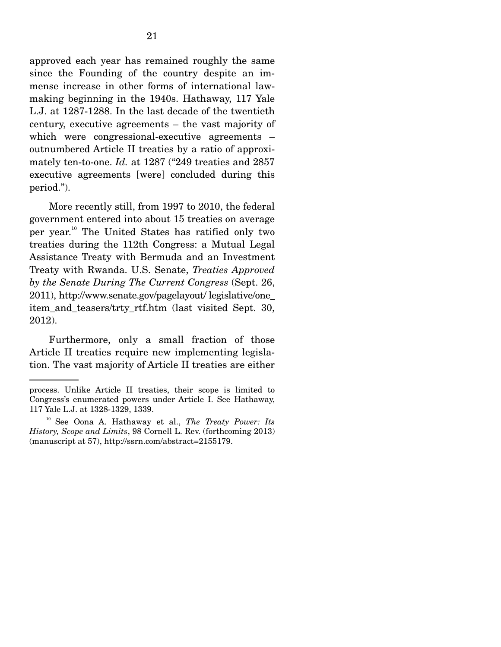approved each year has remained roughly the same since the Founding of the country despite an immense increase in other forms of international lawmaking beginning in the 1940s. Hathaway, 117 Yale L.J. at 1287-1288. In the last decade of the twentieth century, executive agreements – the vast majority of which were congressional-executive agreements – outnumbered Article II treaties by a ratio of approximately ten-to-one. *Id.* at 1287 ("249 treaties and 2857 executive agreements [were] concluded during this period.").

 More recently still, from 1997 to 2010, the federal government entered into about 15 treaties on average per year.10 The United States has ratified only two treaties during the 112th Congress: a Mutual Legal Assistance Treaty with Bermuda and an Investment Treaty with Rwanda. U.S. Senate, *Treaties Approved by the Senate During The Current Congress* (Sept. 26, 2011), http://www.senate.gov/pagelayout/ legislative/one\_ item\_and\_teasers/trty\_rtf.htm (last visited Sept. 30, 2012).

 Furthermore, only a small fraction of those Article II treaties require new implementing legislation. The vast majority of Article II treaties are either

process. Unlike Article II treaties, their scope is limited to Congress's enumerated powers under Article I. See Hathaway, 117 Yale L.J. at 1328-1329, 1339.

<sup>10</sup> See Oona A. Hathaway et al., *The Treaty Power: Its History, Scope and Limits*, 98 Cornell L. Rev. (forthcoming 2013) (manuscript at 57), http://ssrn.com/abstract=2155179.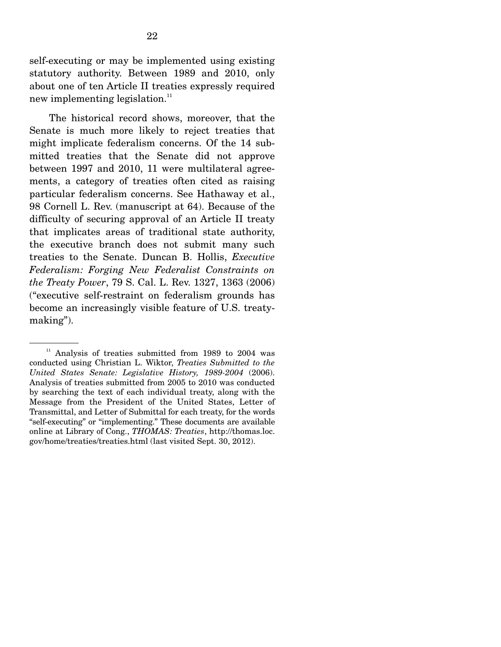self-executing or may be implemented using existing statutory authority. Between 1989 and 2010, only about one of ten Article II treaties expressly required new implementing legislation.<sup>11</sup>

 The historical record shows, moreover, that the Senate is much more likely to reject treaties that might implicate federalism concerns. Of the 14 submitted treaties that the Senate did not approve between 1997 and 2010, 11 were multilateral agreements, a category of treaties often cited as raising particular federalism concerns. See Hathaway et al., 98 Cornell L. Rev. (manuscript at 64). Because of the difficulty of securing approval of an Article II treaty that implicates areas of traditional state authority, the executive branch does not submit many such treaties to the Senate. Duncan B. Hollis, *Executive Federalism: Forging New Federalist Constraints on the Treaty Power*, 79 S. Cal. L. Rev. 1327, 1363 (2006) ("executive self-restraint on federalism grounds has become an increasingly visible feature of U.S. treatymaking").

 $11$  Analysis of treaties submitted from 1989 to 2004 was conducted using Christian L. Wiktor, *Treaties Submitted to the United States Senate: Legislative History, 1989-2004* (2006). Analysis of treaties submitted from 2005 to 2010 was conducted by searching the text of each individual treaty, along with the Message from the President of the United States, Letter of Transmittal, and Letter of Submittal for each treaty, for the words "self-executing" or "implementing." These documents are available online at Library of Cong., *THOMAS: Treaties*, http://thomas.loc. gov/home/treaties/treaties.html (last visited Sept. 30, 2012).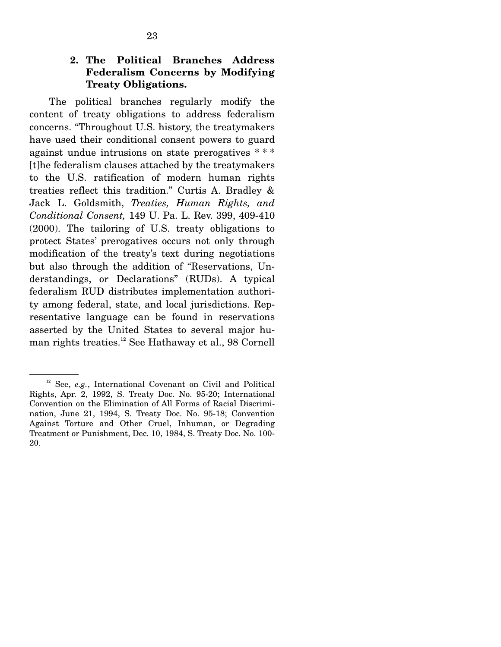#### **2. The Political Branches Address Federalism Concerns by Modifying Treaty Obligations.**

 The political branches regularly modify the content of treaty obligations to address federalism concerns. "Throughout U.S. history, the treatymakers have used their conditional consent powers to guard against undue intrusions on state prerogatives \* \* \* [t]he federalism clauses attached by the treatymakers to the U.S. ratification of modern human rights treaties reflect this tradition." Curtis A. Bradley & Jack L. Goldsmith, *Treaties, Human Rights, and Conditional Consent,* 149 U. Pa. L. Rev. 399, 409-410 (2000). The tailoring of U.S. treaty obligations to protect States' prerogatives occurs not only through modification of the treaty's text during negotiations but also through the addition of "Reservations, Understandings, or Declarations" (RUDs). A typical federalism RUD distributes implementation authority among federal, state, and local jurisdictions. Representative language can be found in reservations asserted by the United States to several major human rights treaties.<sup>12</sup> See Hathaway et al., 98 Cornell

<sup>&</sup>lt;sup>12</sup> See, *e.g.*, International Covenant on Civil and Political Rights, Apr. 2, 1992, S. Treaty Doc. No. 95-20; International Convention on the Elimination of All Forms of Racial Discrimination, June 21, 1994, S. Treaty Doc. No. 95-18; Convention Against Torture and Other Cruel, Inhuman, or Degrading Treatment or Punishment, Dec. 10, 1984, S. Treaty Doc. No. 100- 20.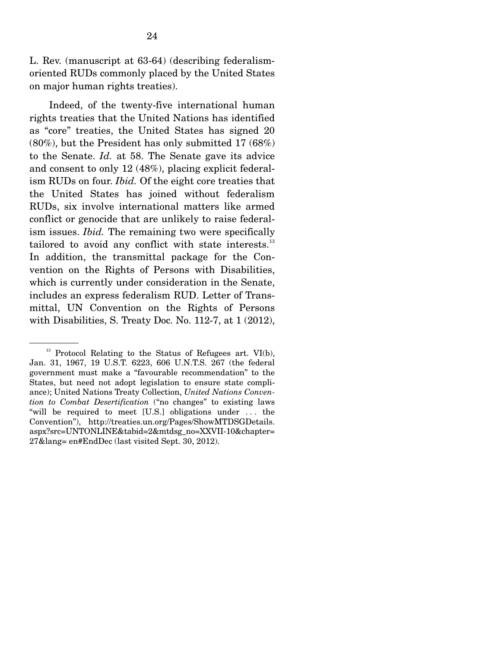L. Rev. (manuscript at 63-64) (describing federalismoriented RUDs commonly placed by the United States on major human rights treaties).

 Indeed, of the twenty-five international human rights treaties that the United Nations has identified as "core" treaties, the United States has signed 20 (80%), but the President has only submitted 17 (68%) to the Senate. *Id.* at 58. The Senate gave its advice and consent to only 12 (48%), placing explicit federalism RUDs on four. *Ibid.* Of the eight core treaties that the United States has joined without federalism RUDs, six involve international matters like armed conflict or genocide that are unlikely to raise federalism issues. *Ibid.* The remaining two were specifically tailored to avoid any conflict with state interests. $^{13}$ In addition, the transmittal package for the Convention on the Rights of Persons with Disabilities, which is currently under consideration in the Senate, includes an express federalism RUD. Letter of Transmittal, UN Convention on the Rights of Persons with Disabilities, S. Treaty Doc. No. 112-7, at 1 (2012),

<sup>&</sup>lt;sup>13</sup> Protocol Relating to the Status of Refugees art. VI(b), Jan. 31, 1967, 19 U.S.T. 6223, 606 U.N.T.S. 267 (the federal government must make a "favourable recommendation" to the States, but need not adopt legislation to ensure state compliance); United Nations Treaty Collection, *United Nations Convention to Combat Desertification* ("no changes" to existing laws "will be required to meet [U.S.] obligations under . . . the Convention"), http://treaties.un.org/Pages/ShowMTDSGDetails. aspx?src=UNTONLINE&tabid=2&mtdsg\_no=XXVII-10&chapter= 27&lang= en#EndDec (last visited Sept. 30, 2012).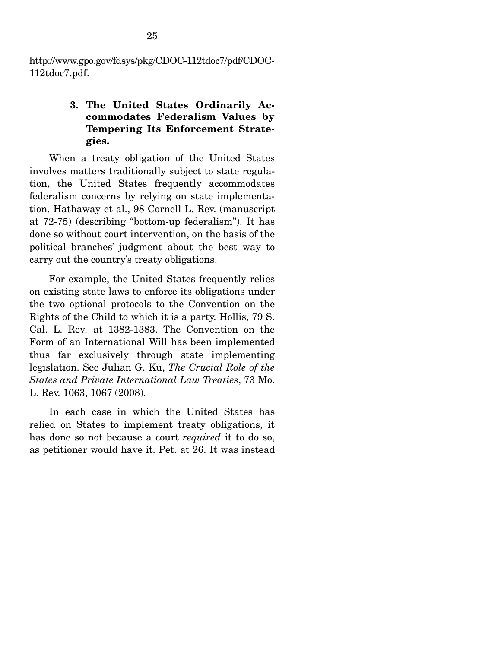http://www.gpo.gov/fdsys/pkg/CDOC-112tdoc7/pdf/CDOC-112tdoc7.pdf.

## **3. The United States Ordinarily Accommodates Federalism Values by Tempering Its Enforcement Strategies.**

 When a treaty obligation of the United States involves matters traditionally subject to state regulation, the United States frequently accommodates federalism concerns by relying on state implementation. Hathaway et al., 98 Cornell L. Rev. (manuscript at 72-75) (describing "bottom-up federalism"). It has done so without court intervention, on the basis of the political branches' judgment about the best way to carry out the country's treaty obligations.

 For example, the United States frequently relies on existing state laws to enforce its obligations under the two optional protocols to the Convention on the Rights of the Child to which it is a party. Hollis, 79 S. Cal. L. Rev*.* at 1382-1383. The Convention on the Form of an International Will has been implemented thus far exclusively through state implementing legislation. See Julian G. Ku, *The Crucial Role of the States and Private International Law Treaties*, 73 Mo. L. Rev. 1063, 1067 (2008).

 In each case in which the United States has relied on States to implement treaty obligations, it has done so not because a court *required* it to do so, as petitioner would have it. Pet. at 26. It was instead